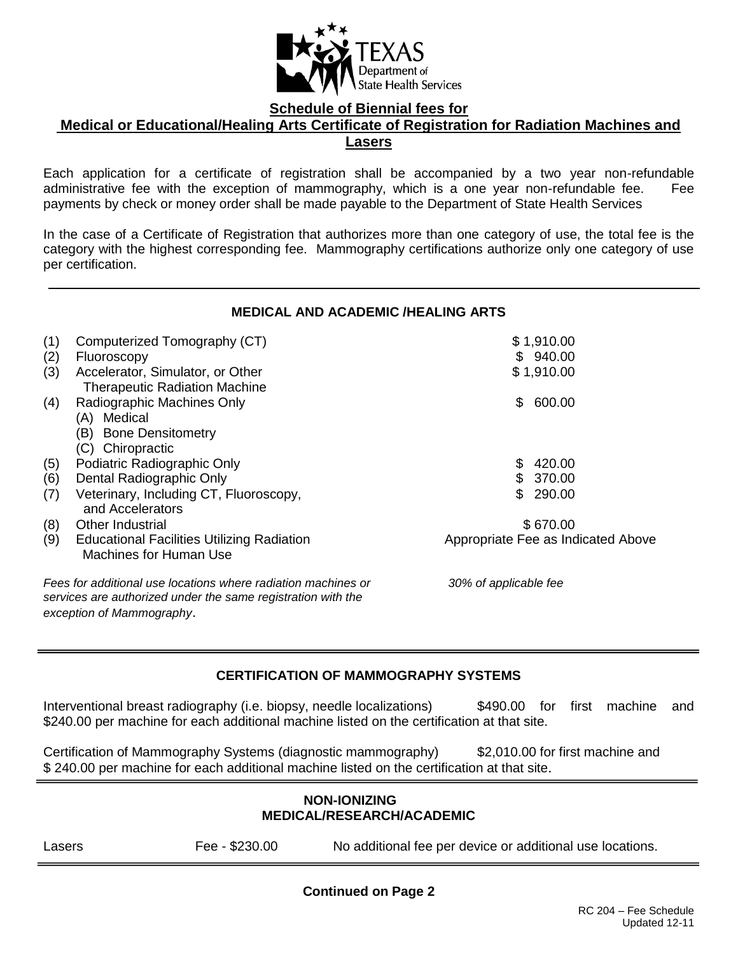

**Schedule of Biennial fees for**

### **Medical or Educational/Healing Arts Certificate of Registration for Radiation Machines and Lasers**

Each application for a certificate of registration shall be accompanied by a two year non-refundable administrative fee with the exception of mammography, which is a one year non-refundable fee. Fee payments by check or money order shall be made payable to the Department of State Health Services

In the case of a Certificate of Registration that authorizes more than one category of use, the total fee is the category with the highest corresponding fee. Mammography certifications authorize only one category of use per certification.

## **MEDICAL AND ACADEMIC /HEALING ARTS**

| (1)                                                                                                                           | Computerized Tomography (CT)                                                | \$1,910.00                         |  |  |
|-------------------------------------------------------------------------------------------------------------------------------|-----------------------------------------------------------------------------|------------------------------------|--|--|
| (2)                                                                                                                           | Fluoroscopy                                                                 | \$940.00                           |  |  |
| (3)                                                                                                                           | Accelerator, Simulator, or Other                                            | \$1,910.00                         |  |  |
|                                                                                                                               | <b>Therapeutic Radiation Machine</b>                                        |                                    |  |  |
| (4)                                                                                                                           | Radiographic Machines Only                                                  | 600.00<br>\$                       |  |  |
|                                                                                                                               | (A) Medical                                                                 |                                    |  |  |
|                                                                                                                               | (B) Bone Densitometry                                                       |                                    |  |  |
|                                                                                                                               | (C) Chiropractic                                                            |                                    |  |  |
| (5)                                                                                                                           | Podiatric Radiographic Only                                                 | 420.00<br>S.                       |  |  |
| (6)                                                                                                                           | Dental Radiographic Only                                                    | 370.00                             |  |  |
| (7)                                                                                                                           | Veterinary, Including CT, Fluoroscopy,<br>and Accelerators                  | 290.00<br>\$.                      |  |  |
| (8)                                                                                                                           | Other Industrial                                                            | \$670.00                           |  |  |
| (9)                                                                                                                           | <b>Educational Facilities Utilizing Radiation</b><br>Machines for Human Use | Appropriate Fee as Indicated Above |  |  |
| Fees for additional use locations where radiation machines or<br>services are authorized under the same registration with the |                                                                             | 30% of applicable fee              |  |  |
|                                                                                                                               | exception of Mammography.                                                   |                                    |  |  |

## **CERTIFICATION OF MAMMOGRAPHY SYSTEMS**

Interventional breast radiography (i.e. biopsy, needle localizations)  $$490.00$  for first machine and \$240.00 per machine for each additional machine listed on the certification at that site.

Certification of Mammography Systems (diagnostic mammography) \$2,010.00 for first machine and \$ 240.00 per machine for each additional machine listed on the certification at that site.

## **NON-IONIZING MEDICAL/RESEARCH/ACADEMIC**

Lasers Fee - \$230.00 No additional fee per device or additional use locations.

**Continued on Page 2**